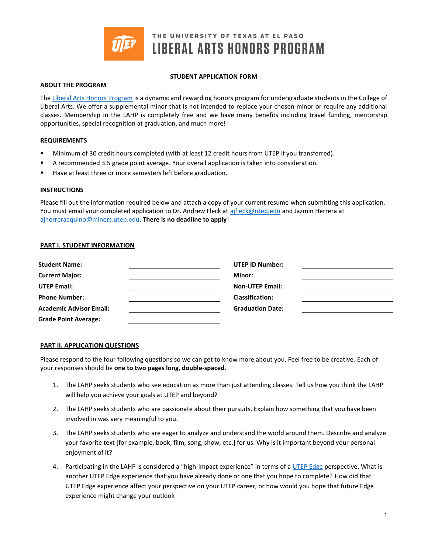

# THE UNIVERSITY OF TEXAS AT EL PASO **LIBERAL ARTS HONORS PROGRAM**

# **STUDENT APPLICATION FORM**

# **ABOUT THE PROGRAM**

The [Liberal Arts Honors Program](https://www.utep.edu/liberalarts/lahp/) is a dynamic and rewarding honors program for undergraduate students in the College of Liberal Arts. We offer a supplemental minor that is not intended to replace your chosen minor or require any additional classes. Membership in the LAHP is completely free and we have many benefits including travel funding, mentorship opportunities, special recognition at graduation, and much more!

# **REQUIREMENTS**

- Minimum of 30 credit hours completed (with at least 12 credit hours from UTEP if you transferred).
- A recommended 3.5 grade point average. Your overall application is taken into consideration.
- Have at least three or more semesters left before graduation.

## **INSTRUCTIONS**

Please fill out the information required below and attach a copy of your current resume when submitting this application. You must email your completed application to Dr. Andrew Fleck at [ajfleck@utep.edu](mailto:ajfleck@utep.edu) and Jazmin Herrera at [ajherreraaquino@miners.utep.edu.](mailto:ajherreraaquino@miners.utep.edu) **There is no deadline to apply**!

## **PART I. STUDENT INFORMATION**

| <b>Student Name:</b>           | <b>UTEP ID Number:</b>  |  |
|--------------------------------|-------------------------|--|
| <b>Current Major:</b>          | Minor:                  |  |
| <b>UTEP Email:</b>             | <b>Non-UTEP Email:</b>  |  |
| <b>Phone Number:</b>           | <b>Classification:</b>  |  |
| <b>Academic Advisor Email:</b> | <b>Graduation Date:</b> |  |
| <b>Grade Point Average:</b>    |                         |  |

# **PART II. APPLICATION QUESTIONS**

Please respond to the four following questions so we can get to know more about you. Feel free to be creative. Each of your responses should be **one to two pages long, double-spaced**.

- 1. The LAHP seeks students who see education as more than just attending classes. Tell us how you think the LAHP will help you achieve your goals at UTEP and beyond?
- 2. The LAHP seeks students who are passionate about their pursuits. Explain how something that you have been involved in was very meaningful to you.
- 3. The LAHP seeks students who are eager to analyze and understand the world around them. Describe and analyze your favorite text [for example, book, film, song, show, etc.] for us. Why is it important beyond your personal enjoyment of it?
- 4. Participating in the LAHP is considered a "high-impact experience" in terms of [a UTEP Edge](https://www.utep.edu/edge/) perspective. What is another UTEP Edge experience that you have already done or one that you hope to complete? How did that UTEP Edge experience affect your perspective on your UTEP career, or how would you hope that future Edge experience might change your outlook